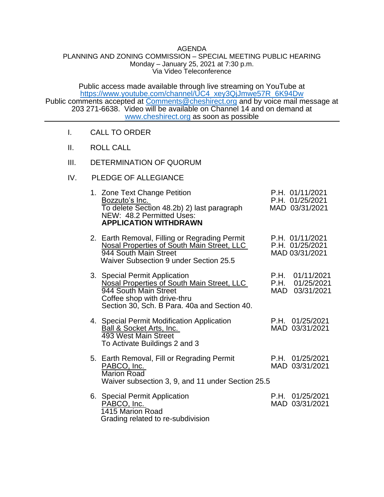## AGENDA

## PLANNING AND ZONING COMMISSION – SPECIAL MEETING PUBLIC HEARING Monday – January 25, 2021 at 7:30 p.m. Via Video Teleconference

Public access made available through live streaming on YouTube at [https://www.youtube.com/channel/UC4\\_xey3QjJmwe57R\\_6K94Dw](https://www.youtube.com/channel/UC4_xey3QjJmwe57R_6K94Dw) Public comments accepted at [Comments@cheshirect.org](mailto:Comments@cheshirect.org) and by voice mail message at 203 271-6638. Video will be available on Channel 14 and on demand at [www.cheshirect.org](http://www.cheshirect.org/) as soon as possible

- I. CALL TO ORDER
- II. ROLL CALL
- III. DETERMINATION OF QUORUM
- IV. PLEDGE OF ALLEGIANCE

| 1. Zone Text Change Petition<br>Bozzuto's Inc.<br>To delete Section 48.2b) 2) last paragraph<br>NEW: 48.2 Permitted Uses:<br><b>APPLICATION WITHDRAWN</b>                                  | P.H. 01/11/2021<br>P.H. 01/25/2021<br>MAD 03/31/2021 |
|--------------------------------------------------------------------------------------------------------------------------------------------------------------------------------------------|------------------------------------------------------|
| 2. Earth Removal, Filling or Regrading Permit<br>Nosal Properties of South Main Street, LLC<br>944 South Main Street<br>Waiver Subsection 9 under Section 25.5                             | P.H. 01/11/2021<br>P.H. 01/25/2021<br>MAD 03/31/2021 |
| 3. Special Permit Application<br><b>Nosal Properties of South Main Street, LLC</b><br>944 South Main Street<br>Coffee shop with drive-thru<br>Section 30, Sch. B Para. 40a and Section 40. | P.H. 01/11/2021<br>P.H. 01/25/2021<br>MAD 03/31/2021 |
| 4. Special Permit Modification Application<br><b>Ball &amp; Socket Arts, Inc.</b><br>493 West Main Street<br>To Activate Buildings 2 and 3                                                 | P.H. 01/25/2021<br>MAD 03/31/2021                    |
| 5. Earth Removal, Fill or Regrading Permit<br>PABCO, Inc.<br>Marion Road<br>Waiver subsection 3, 9, and 11 under Section 25.5                                                              | P.H. 01/25/2021<br>MAD 03/31/2021                    |
| 6. Special Permit Application<br>PABCO, Inc.<br>1415 Marion Road<br>Grading related to re-subdivision                                                                                      | P.H. 01/25/2021<br>MAD 03/31/2021                    |